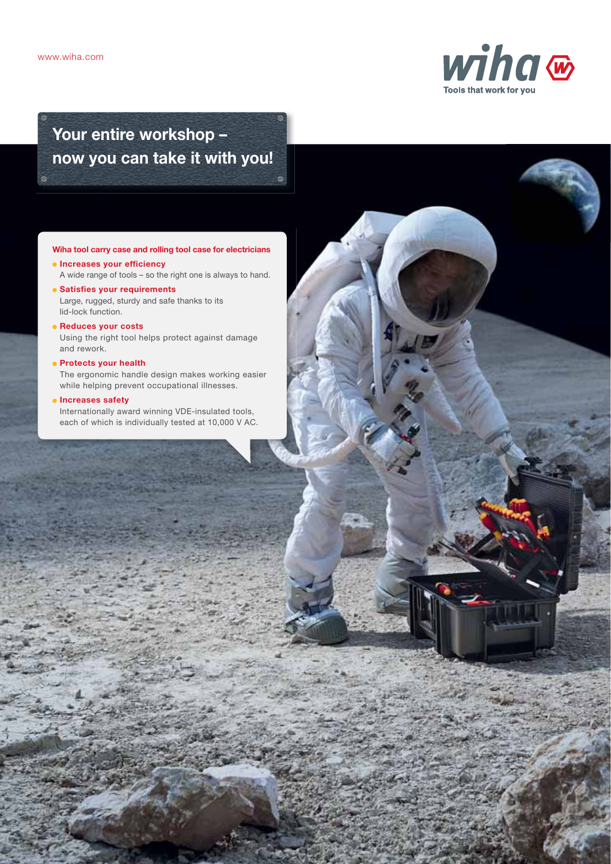

# Your entire workshop – now you can take it with you!

## Wiha tool carry case and rolling tool case for electricians

- **Increases your efficiency** A wide range of tools – so the right one is always to hand.
- Satisfies your requirements Large, rugged, sturdy and safe thanks to its lid-lock function.
- Reduces your costs Using the right tool helps protect against damage and rework.
- Protects your health The ergonomic handle design makes working easier while helping prevent occupational illnesses.
- **Increases safety** Internationally award winning VDE-insulated tools, each of which is individually tested at 10,000 V AC.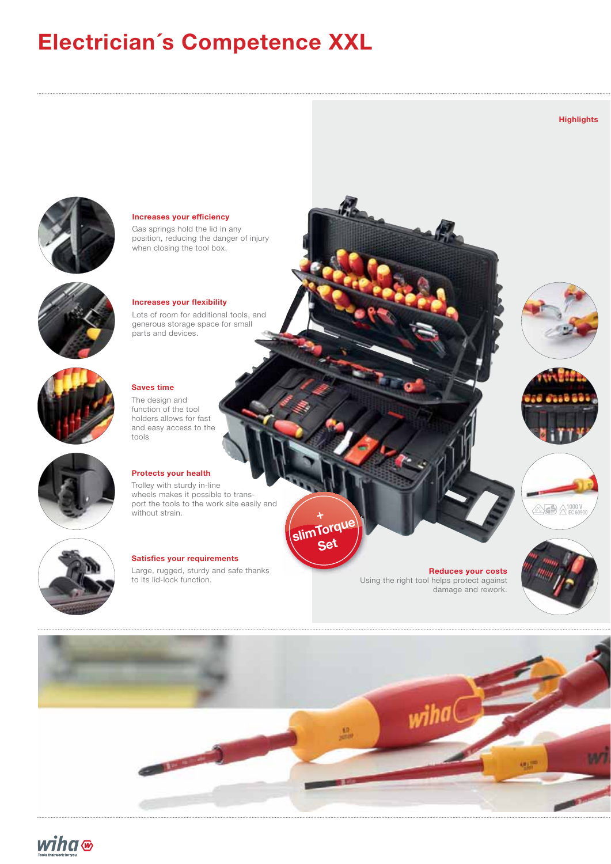# Electrician´s Competence XXL



Increases your efficiency

Gas springs hold the lid in any position, reducing the danger of injury when closing the tool box.



### Increases your flexibility

Lots of room for additional tools, and generous storage space for small parts and devices.



## Saves time

The design and function of the tool holders allows for fast and easy access to the tools



### Protects your health

Trolley with sturdy in-line wheels makes it possible to transport the tools to the work site easily and without strain.



# Satisfies your requirements

Large, rugged, sturdy and safe thanks to its lid-lock function.

Reduces your costs Using the right tool helps protect against damage and rework.



**Highlights** 









slimTorque **Set** 

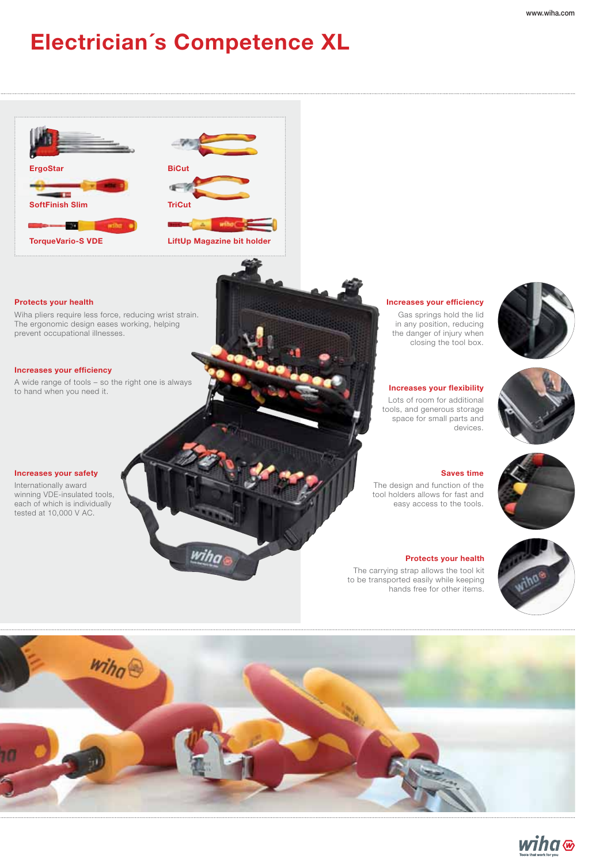# Electrician´s Competence XL





wiha

### Protects your health

Wiha pliers require less force, reducing wrist strain. The ergonomic design eases working, helping prevent occupational illnesses.

### Increases your efficiency

A wide range of tools – so the right one is always to hand when you need it.

### Increases your safety

Internationally award winning VDE-insulated tools, each of which is individually tested at 10,000 V AC.



in any position, reducing the danger of injury when closing the tool box.

Increases your flexibility Lots of room for additional tools, and generous storage space for small parts and devices.





### Saves time

The design and function of the tool holders allows for fast and easy access to the tools.

### Protects your health

The carrying strap allows the tool kit to be transported easily while keeping hands free for other items.